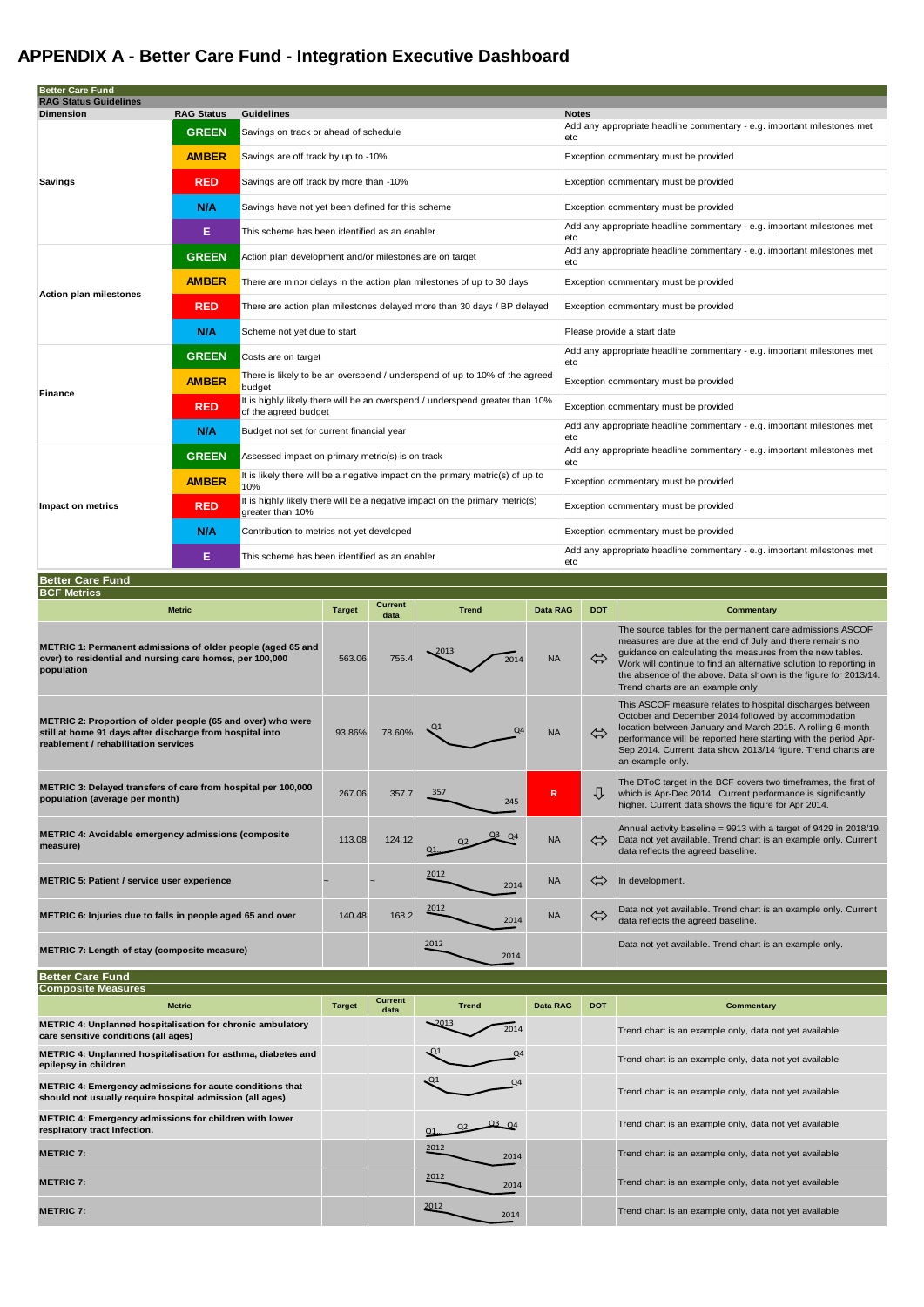## **APPENDIX A - Better Care Fund - Integration Executive Dashboard**

| <b>Better Care Fund</b> |  |
|-------------------------|--|
| $DCE$ Matrice           |  |

| סטו וייכנו וט<br><b>Metric</b>                                                                                                                                  | <b>Target</b> | Current<br>data | <b>Trend</b> | <b>Data RAG</b> | <b>DOT</b>        | <b>Commentary</b>                                                                                                                                                                                                                                                                                                                                               |
|-----------------------------------------------------------------------------------------------------------------------------------------------------------------|---------------|-----------------|--------------|-----------------|-------------------|-----------------------------------------------------------------------------------------------------------------------------------------------------------------------------------------------------------------------------------------------------------------------------------------------------------------------------------------------------------------|
| METRIC 1: Permanent admissions of older people (aged 65 and<br>over) to residential and nursing care homes, per 100,000<br>population                           | 563.06        | 755.4           | 2014         | <b>NA</b>       | $\Leftrightarrow$ | The source tables for the permanent care admissions ASCOF<br>measures are due at the end of July and there remains no<br>guidance on calculating the measures from the new tables.<br>Work will continue to find an alternative solution to reporting in<br>the absence of the above. Data shown is the figure for 2013/14.<br>Trend charts are an example only |
| METRIC 2: Proportion of older people (65 and over) who were<br>still at home 91 days after discharge from hospital into<br>reablement / rehabilitation services | 93.86%        | 78.60%          |              | <b>NA</b>       | $\Leftrightarrow$ | This ASCOF measure relates to hospital discharges between<br>October and December 2014 followed by accommodation<br>location between January and March 2015. A rolling 6-month<br>performance will be reported here starting with the period Apr-<br>Sep 2014. Current data show 2013/14 figure. Trend charts are<br>an example only.                           |
| METRIC 3: Delayed transfers of care from hospital per 100,000<br>population (average per month)                                                                 | 267.06        | 357.7           | 245          | R               | ſł                | The DToC target in the BCF covers two timeframes, the first of<br>which is Apr-Dec 2014. Current performance is significantly<br>higher. Current data shows the figure for Apr 2014.                                                                                                                                                                            |
| <b>METRIC 4: Avoidable emergency admissions (composite)</b><br>measure)                                                                                         | 113.08        | 124.12          |              | <b>NA</b>       | ⇔                 | Annual activity baseline = 9913 with a target of 9429 in 2018/19.<br>Data not yet available. Trend chart is an example only. Current<br>data reflects the agreed baseline.                                                                                                                                                                                      |
| <b>METRIC 5: Patient / service user experience</b>                                                                                                              |               |                 | 2014         | <b>NA</b>       | $\Leftrightarrow$ | In development.                                                                                                                                                                                                                                                                                                                                                 |
| METRIC 6: Injuries due to falls in people aged 65 and over                                                                                                      | 140.48        | 168.2           | 2014         | <b>NA</b>       | $\Leftrightarrow$ | Data not yet available. Trend chart is an example only. Current<br>data reflects the agreed baseline.                                                                                                                                                                                                                                                           |
| <b>METRIC 7: Length of stay (composite measure)</b>                                                                                                             |               |                 | 2014         |                 |                   | Data not yet available. Trend chart is an example only.                                                                                                                                                                                                                                                                                                         |

**Better Care Fund**

| <b>Composite Measures</b>                                                                                                   |               |                        |              |          |            |                                                        |  |
|-----------------------------------------------------------------------------------------------------------------------------|---------------|------------------------|--------------|----------|------------|--------------------------------------------------------|--|
| <b>Metric</b>                                                                                                               | <b>Target</b> | <b>Current</b><br>data | <b>Trend</b> | Data RAG | <b>DOT</b> | <b>Commentary</b>                                      |  |
| <b>METRIC 4: Unplanned hospitalisation for chronic ambulatory</b><br>care sensitive conditions (all ages)                   |               |                        | 2014         |          |            | Trend chart is an example only, data not yet available |  |
| METRIC 4: Unplanned hospitalisation for asthma, diabetes and<br>epilepsy in children                                        |               |                        |              |          |            | Trend chart is an example only, data not yet available |  |
| <b>METRIC 4: Emergency admissions for acute conditions that</b><br>should not usually require hospital admission (all ages) |               |                        |              |          |            | Trend chart is an example only, data not yet available |  |
| <b>METRIC 4: Emergency admissions for children with lower</b><br>respiratory tract infection.                               |               |                        |              |          |            | Trend chart is an example only, data not yet available |  |
| <b>METRIC 7:</b>                                                                                                            |               |                        | 2014         |          |            | Trend chart is an example only, data not yet available |  |
| <b>METRIC 7:</b>                                                                                                            |               |                        | 2014         |          |            | Trend chart is an example only, data not yet available |  |
| <b>METRIC 7:</b>                                                                                                            |               |                        | 2014         |          |            | Trend chart is an example only, data not yet available |  |

| <b>Better Care Fund</b>       |                   |                                                                                                      |                                                                                |  |
|-------------------------------|-------------------|------------------------------------------------------------------------------------------------------|--------------------------------------------------------------------------------|--|
| <b>RAG Status Guidelines</b>  |                   |                                                                                                      |                                                                                |  |
| <b>Dimension</b>              | <b>RAG Status</b> | <b>Guidelines</b>                                                                                    | <b>Notes</b>                                                                   |  |
|                               | <b>GREEN</b>      | Savings on track or ahead of schedule                                                                | Add any appropriate headline commentary - e.g. important milestones met<br>etc |  |
|                               | <b>AMBER</b>      | Savings are off track by up to -10%                                                                  | Exception commentary must be provided                                          |  |
| Savings                       | <b>RED</b>        | Savings are off track by more than -10%                                                              | Exception commentary must be provided                                          |  |
|                               | N/A               | Savings have not yet been defined for this scheme                                                    | Exception commentary must be provided                                          |  |
|                               | E.                | This scheme has been identified as an enabler                                                        | Add any appropriate headline commentary - e.g. important milestones met<br>etc |  |
|                               | <b>GREEN</b>      | Action plan development and/or milestones are on target                                              | Add any appropriate headline commentary - e.g. important milestones met<br>etc |  |
| <b>Action plan milestones</b> | <b>AMBER</b>      | There are minor delays in the action plan milestones of up to 30 days                                | Exception commentary must be provided                                          |  |
|                               | <b>RED</b>        | There are action plan milestones delayed more than 30 days / BP delayed                              | Exception commentary must be provided                                          |  |
|                               | N/A               | Scheme not yet due to start                                                                          | Please provide a start date                                                    |  |
|                               | <b>GREEN</b>      | Costs are on target                                                                                  | Add any appropriate headline commentary - e.g. important milestones met<br>etc |  |
| <b>Finance</b>                | <b>AMBER</b>      | There is likely to be an overspend / underspend of up to 10% of the agreed<br>budget                 | Exception commentary must be provided                                          |  |
|                               | <b>RED</b>        | It is highly likely there will be an overspend / underspend greater than 10%<br>of the agreed budget | Exception commentary must be provided                                          |  |
|                               | N/A               | Budget not set for current financial year                                                            | Add any appropriate headline commentary - e.g. important milestones met<br>etc |  |
|                               | <b>GREEN</b>      | Assessed impact on primary metric(s) is on track                                                     | Add any appropriate headline commentary - e.g. important milestones met<br>etc |  |
|                               | <b>AMBER</b>      | It is likely there will be a negative impact on the primary metric(s) of up to<br>10%                | Exception commentary must be provided                                          |  |
| Impact on metrics             | <b>RED</b>        | It is highly likely there will be a negative impact on the primary metric(s)<br>greater than 10%     | Exception commentary must be provided                                          |  |
|                               | N/A               | Contribution to metrics not yet developed                                                            | Exception commentary must be provided                                          |  |
|                               | E.                | This scheme has been identified as an enabler                                                        | Add any appropriate headline commentary - e.g. important milestones met<br>etc |  |
| <b>DAMAGO CARD PASSAGE</b>    |                   |                                                                                                      |                                                                                |  |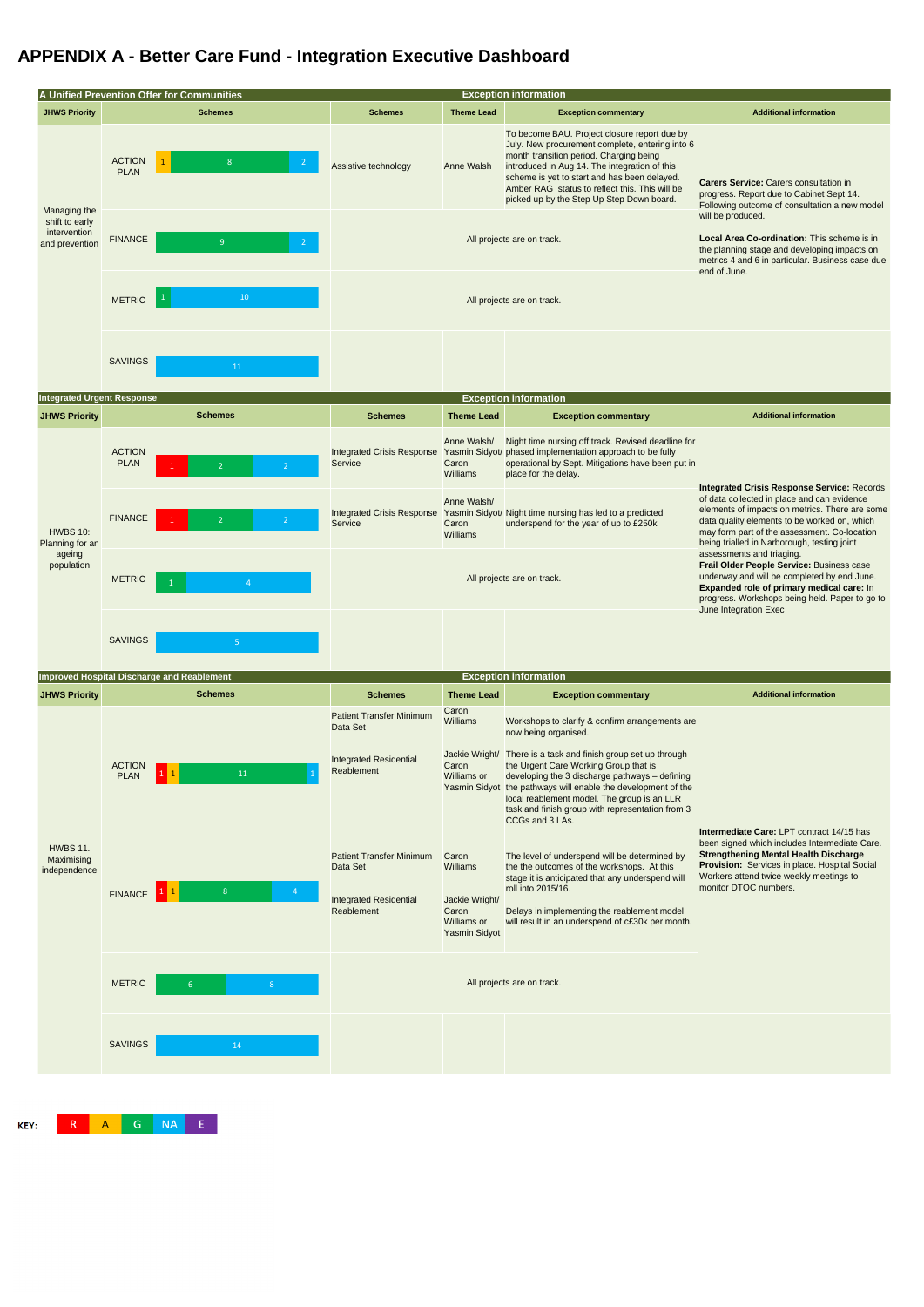## **APPENDIX A - Better Care Fund - Integration Executive Dashboard**

|                                                  |                              | A Unified Prevention Offer for Communities        |                                                                                                                                                                                        | <b>Exception information</b>                                                                      |                                                                                                                                                                                                                                                                                                                                                                                                                                                                                                                                                     |                                                                                                                                                                                                                    |
|--------------------------------------------------|------------------------------|---------------------------------------------------|----------------------------------------------------------------------------------------------------------------------------------------------------------------------------------------|---------------------------------------------------------------------------------------------------|-----------------------------------------------------------------------------------------------------------------------------------------------------------------------------------------------------------------------------------------------------------------------------------------------------------------------------------------------------------------------------------------------------------------------------------------------------------------------------------------------------------------------------------------------------|--------------------------------------------------------------------------------------------------------------------------------------------------------------------------------------------------------------------|
| <b>JHWS Priority</b>                             |                              | <b>Schemes</b>                                    | <b>Schemes</b>                                                                                                                                                                         | <b>Theme Lead</b>                                                                                 | <b>Exception commentary</b>                                                                                                                                                                                                                                                                                                                                                                                                                                                                                                                         | <b>Additional information</b>                                                                                                                                                                                      |
| Managing the                                     | <b>ACTION</b><br><b>PLAN</b> | $8\phantom{1}$<br>$\overline{2}$                  | Assistive technology                                                                                                                                                                   | <b>Anne Walsh</b>                                                                                 | To become BAU. Project closure report due by<br>July. New procurement complete, entering into 6<br>month transition period. Charging being<br>introduced in Aug 14. The integration of this<br>scheme is yet to start and has been delayed.<br>Amber RAG status to reflect this. This will be<br>picked up by the Step Up Step Down board.                                                                                                                                                                                                          | <b>Carers Service: Carers consultation in</b><br>progress. Report due to Cabinet Sept 14.<br>Following outcome of consultation a new model                                                                         |
| shift to early<br>intervention<br>and prevention | <b>FINANCE</b>               | 9<br>$\overline{2}$                               |                                                                                                                                                                                        | All projects are on track.                                                                        | will be produced.<br>Local Area Co-ordination: This scheme is in<br>the planning stage and developing impacts on<br>metrics 4 and 6 in particular. Business case due<br>end of June.                                                                                                                                                                                                                                                                                                                                                                |                                                                                                                                                                                                                    |
|                                                  | <b>METRIC</b>                | 10                                                |                                                                                                                                                                                        | All projects are on track.                                                                        |                                                                                                                                                                                                                                                                                                                                                                                                                                                                                                                                                     |                                                                                                                                                                                                                    |
|                                                  | <b>SAVINGS</b>               | 11                                                |                                                                                                                                                                                        |                                                                                                   |                                                                                                                                                                                                                                                                                                                                                                                                                                                                                                                                                     |                                                                                                                                                                                                                    |
| <b>Integrated Urgent Response</b>                |                              |                                                   |                                                                                                                                                                                        |                                                                                                   | <b>Exception information</b>                                                                                                                                                                                                                                                                                                                                                                                                                                                                                                                        |                                                                                                                                                                                                                    |
| <b>JHWS Priority</b>                             |                              | <b>Schemes</b>                                    | <b>Schemes</b>                                                                                                                                                                         | <b>Theme Lead</b>                                                                                 | <b>Exception commentary</b>                                                                                                                                                                                                                                                                                                                                                                                                                                                                                                                         | <b>Additional information</b>                                                                                                                                                                                      |
|                                                  | <b>ACTION</b><br><b>PLAN</b> | $\overline{2}$<br>$\overline{2}$                  | <b>Integrated Crisis Response</b><br>Service                                                                                                                                           | Anne Walsh/<br>Caron<br><b>Williams</b>                                                           | Night time nursing off track. Revised deadline for<br>Yasmin Sidyot/ phased implementation approach to be fully<br>operational by Sept. Mitigations have been put in<br>place for the delay.                                                                                                                                                                                                                                                                                                                                                        |                                                                                                                                                                                                                    |
| <b>HWBS 10:</b><br>Planning for an               | <b>FINANCE</b>               | $\overline{2}$<br>$\overline{2}$                  | Anne Walsh/<br><b>Integrated Crisis Response</b><br>Yasmin Sidyot/ Night time nursing has led to a predicted<br>Service<br>underspend for the year of up to £250k<br>Caron<br>Williams |                                                                                                   | <b>Integrated Crisis Response Service: Records</b><br>of data collected in place and can evidence<br>elements of impacts on metrics. There are some<br>data quality elements to be worked on, which<br>may form part of the assessment. Co-location<br>being trialled in Narborough, testing joint<br>assessments and triaging.<br>Frail Older People Service: Business case<br>underway and will be completed by end June.<br>Expanded role of primary medical care: In<br>progress. Workshops being held. Paper to go to<br>June Integration Exec |                                                                                                                                                                                                                    |
| ageing<br>population                             | <b>METRIC</b>                |                                                   | All projects are on track.                                                                                                                                                             |                                                                                                   |                                                                                                                                                                                                                                                                                                                                                                                                                                                                                                                                                     |                                                                                                                                                                                                                    |
|                                                  | <b>SAVINGS</b>               | 5 <sup>°</sup>                                    |                                                                                                                                                                                        |                                                                                                   |                                                                                                                                                                                                                                                                                                                                                                                                                                                                                                                                                     |                                                                                                                                                                                                                    |
|                                                  |                              | <b>Improved Hospital Discharge and Reablement</b> |                                                                                                                                                                                        |                                                                                                   | <b>Exception information</b>                                                                                                                                                                                                                                                                                                                                                                                                                                                                                                                        |                                                                                                                                                                                                                    |
| <b>JHWS Priority</b>                             |                              | <b>Schemes</b>                                    | <b>Schemes</b>                                                                                                                                                                         | <b>Theme Lead</b>                                                                                 | <b>Exception commentary</b>                                                                                                                                                                                                                                                                                                                                                                                                                                                                                                                         | <b>Additional information</b>                                                                                                                                                                                      |
|                                                  |                              |                                                   | <b>Patient Transfer Minimum</b><br>Data Set                                                                                                                                            | Caron<br><b>Williams</b>                                                                          | Workshops to clarify & confirm arrangements are<br>now being organised.<br>Jackie Wright/ There is a task and finish group set up through                                                                                                                                                                                                                                                                                                                                                                                                           |                                                                                                                                                                                                                    |
| <b>HWBS 11.</b><br>Maximising<br>independence    | <b>ACTION</b><br><b>PLAN</b> | 11<br>$1 \vert 1 \vert$                           | <b>Integrated Residential</b><br>Reablement                                                                                                                                            | Caron<br><b>Williams or</b>                                                                       | the Urgent Care Working Group that is<br>developing the 3 discharge pathways - defining<br>Yasmin Sidyot the pathways will enable the development of the<br>local reablement model. The group is an LLR<br>task and finish group with representation from 3<br>CCGs and 3 LAs.                                                                                                                                                                                                                                                                      | Intermediate Care: LPT contract 14/15 has                                                                                                                                                                          |
|                                                  | <b>FINANCE</b>               | 8 <sup>°</sup><br>$\overline{4}$                  | <b>Patient Transfer Minimum</b><br>Data Set<br><b>Integrated Residential</b><br>Reablement                                                                                             | Caron<br><b>Williams</b><br>Jackie Wright/<br>Caron<br><b>Williams or</b><br><b>Yasmin Sidyot</b> | The level of underspend will be determined by<br>the the outcomes of the workshops. At this<br>stage it is anticipated that any underspend will<br>roll into 2015/16.<br>Delays in implementing the reablement model<br>will result in an underspend of c£30k per month.                                                                                                                                                                                                                                                                            | been signed which includes Intermediate Care.<br><b>Strengthening Mental Health Discharge</b><br>Provision: Services in place. Hospital Social<br>Workers attend twice weekly meetings to<br>monitor DTOC numbers. |
|                                                  | <b>METRIC</b>                | 8 <sup>°</sup>                                    |                                                                                                                                                                                        |                                                                                                   | All projects are on track.                                                                                                                                                                                                                                                                                                                                                                                                                                                                                                                          |                                                                                                                                                                                                                    |
|                                                  | <b>SAVINGS</b>               | 14                                                |                                                                                                                                                                                        |                                                                                                   |                                                                                                                                                                                                                                                                                                                                                                                                                                                                                                                                                     |                                                                                                                                                                                                                    |